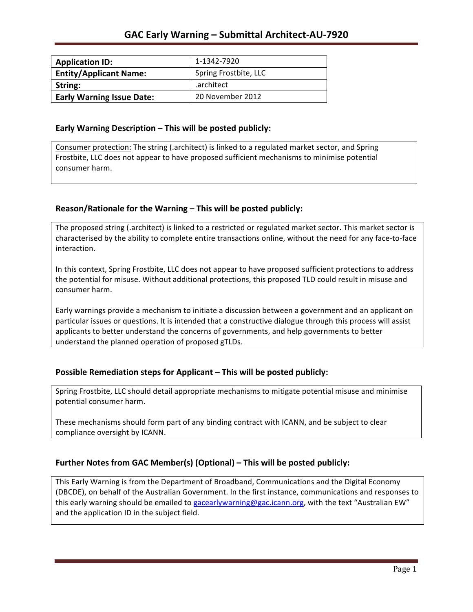| <b>Application ID:</b>           | 1-1342-7920           |
|----------------------------------|-----------------------|
| <b>Entity/Applicant Name:</b>    | Spring Frostbite, LLC |
| String:                          | .architect            |
| <b>Early Warning Issue Date:</b> | 20 November 2012      |

### **Early Warning Description – This will be posted publicly:**

Consumer protection: The string (.architect) is linked to a regulated market sector, and Spring Frostbite, LLC does not appear to have proposed sufficient mechanisms to minimise potential consumer harm.

## **Reason/Rationale for the Warning – This will be posted publicly:**

The proposed string (.architect) is linked to a restricted or regulated market sector. This market sector is characterised by the ability to complete entire transactions online, without the need for any face-to-face interaction.

In this context, Spring Frostbite, LLC does not appear to have proposed sufficient protections to address the potential for misuse. Without additional protections, this proposed TLD could result in misuse and consumer harm.

Early warnings provide a mechanism to initiate a discussion between a government and an applicant on particular issues or questions. It is intended that a constructive dialogue through this process will assist applicants to better understand the concerns of governments, and help governments to better understand the planned operation of proposed gTLDs.

## **Possible Remediation steps for Applicant – This will be posted publicly:**

Spring Frostbite, LLC should detail appropriate mechanisms to mitigate potential misuse and minimise potential consumer harm.

These mechanisms should form part of any binding contract with ICANN, and be subject to clear compliance oversight by ICANN.

## **Further Notes from GAC Member(s) (Optional) – This will be posted publicly:**

This Early Warning is from the Department of Broadband, Communications and the Digital Economy (DBCDE), on behalf of the Australian Government. In the first instance, communications and responses to this early warning should be emailed to gacearlywarning@gac.icann.org, with the text "Australian EW" and the application ID in the subject field.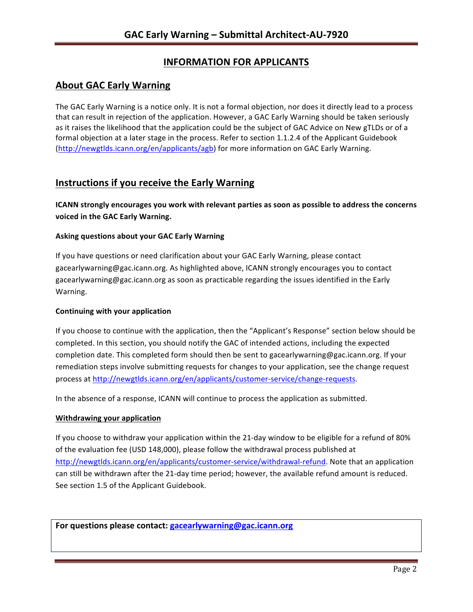# **INFORMATION FOR APPLICANTS**

## **About GAC Early Warning**

The GAC Early Warning is a notice only. It is not a formal objection, nor does it directly lead to a process that can result in rejection of the application. However, a GAC Early Warning should be taken seriously as it raises the likelihood that the application could be the subject of GAC Advice on New gTLDs or of a formal objection at a later stage in the process. Refer to section 1.1.2.4 of the Applicant Guidebook (http://newgtlds.icann.org/en/applicants/agb) for more information on GAC Early Warning.

## **Instructions if you receive the Early Warning**

**ICANN** strongly encourages you work with relevant parties as soon as possible to address the concerns **voiced in the GAC Early Warning.** 

### **Asking questions about your GAC Early Warning**

If you have questions or need clarification about your GAC Early Warning, please contact gacearlywarning@gac.icann.org. As highlighted above, ICANN strongly encourages you to contact gacearlywarning@gac.icann.org as soon as practicable regarding the issues identified in the Early Warning. 

### **Continuing with your application**

If you choose to continue with the application, then the "Applicant's Response" section below should be completed. In this section, you should notify the GAC of intended actions, including the expected completion date. This completed form should then be sent to gacearlywarning@gac.icann.org. If your remediation steps involve submitting requests for changes to your application, see the change request process at http://newgtlds.icann.org/en/applicants/customer-service/change-requests.

In the absence of a response, ICANN will continue to process the application as submitted.

### **Withdrawing your application**

If you choose to withdraw your application within the 21-day window to be eligible for a refund of 80% of the evaluation fee (USD 148,000), please follow the withdrawal process published at http://newgtlds.icann.org/en/applicants/customer-service/withdrawal-refund. Note that an application can still be withdrawn after the 21-day time period; however, the available refund amount is reduced. See section 1.5 of the Applicant Guidebook.

For questions please contact: gacearlywarning@gac.icann.org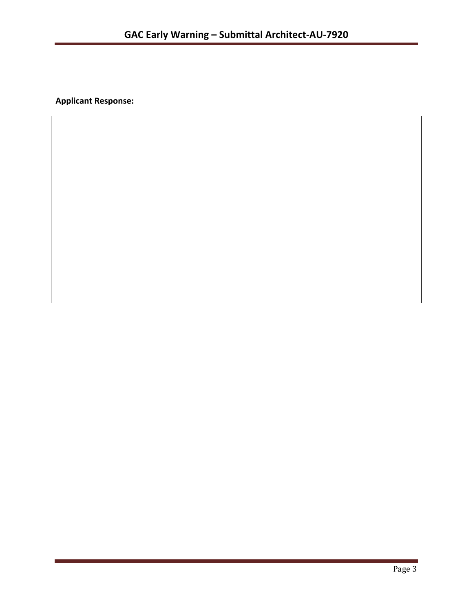**Applicant Response:**